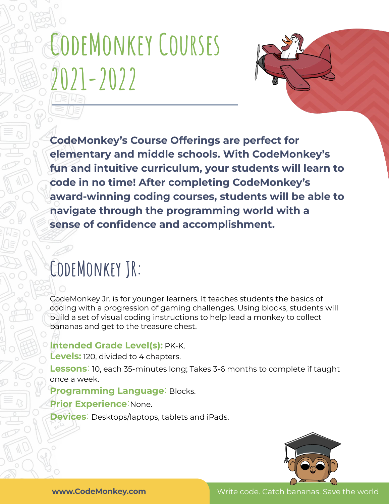# **CodeMonkey Courses 2021-2022**



**CodeMonkey's Course Offerings are perfect for elementary and middle schools. With CodeMonkey's fun and intuitive curriculum, your students will learn to code in no time! After completing CodeMonkey's award-winning coding courses, students will be able to navigate through the programming world with a sense of confidence and accomplishment.**

### **CodeMonkey JR:**

CodeMonkey Jr. is for younger learners. It teaches students the basics of coding with a progression of gaming challenges. Using blocks, students will build a set of visual coding instructions to help lead a monkey to collect bananas and get to the treasure chest.

#### **Intended Grade Level(s):** PK-K.

**Levels:** 120, divided to 4 chapters.

**Lessons:** 10, each 35-minutes long; Takes 3-6 months to complete if taught once a week.

#### **Programming Language:** Blocks.

#### **Prior Experience:**None.

**Devices:** Desktops/laptops, tablets and iPads.

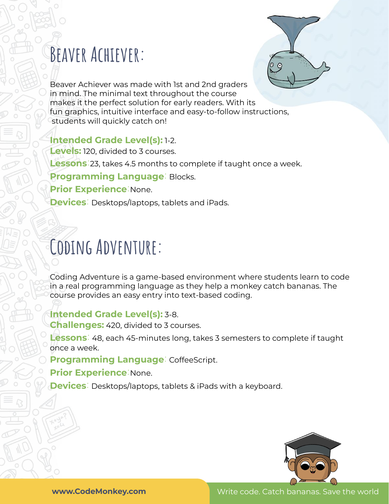### **Beaver Achiever:**



Beaver Achiever was made with 1st and 2nd graders in mind. The minimal text throughout the course makes it the perfect solution for early readers. With its fun graphics, intuitive interface and easy-to-follow instructions, students will quickly catch on!

#### **Intended Grade Level(s):** 1-2.

**Levels:** 120, divided to 3 courses. **Lessons:**23, takes 4.5 months to complete if taught once a week. **Programming Language:** Blocks. **Prior Experience:**None. **Devices:** Desktops/laptops, tablets and iPads.

### **Coding Adventure:**

Coding Adventure is a game-based environment where students learn to code in a real programming language as they help a monkey catch bananas. The course provides an easy entry into text-based coding.

#### **Intended Grade Level(s):** 3-8.

**Challenges:** 420, divided to 3 courses.

**Lessons:** 48, each 45-minutes long, takes 3 semesters to complete if taught once a week.

**Programming Language:** CoffeeScript.

**Prior Experience:**None.

**Devices:** Desktops/laptops, tablets & iPads with a keyboard.

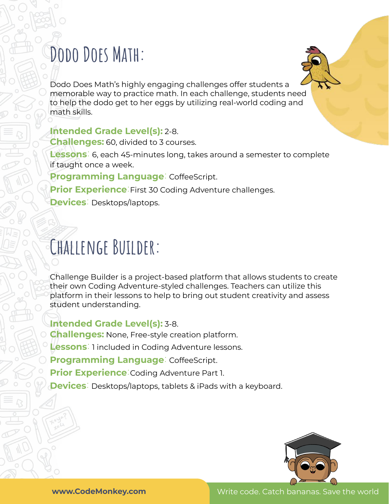### **Dodo Does Math:**

Dodo Does Math's highly engaging challenges offer students a memorable way to practice math. In each challenge, students need to help the dodo get to her eggs by utilizing real-world coding and math skills.

#### **Intended Grade Level(s):** 2-8.

**Challenges:** 60, divided to 3 courses.

**Lessons:** 6, each 45-minutes long, takes around a semester to complete if taught once a week.

**Programming Language:** CoffeeScript.

**Prior Experience:**First 30 Coding Adventure challenges.

**Devices:** Desktops/laptops.

### **Challenge Builder:**

Challenge Builder is a project-based platform that allows students to create their own Coding Adventure-styled challenges. Teachers can utilize this platform in their lessons to help to bring out student creativity and assess student understanding.

**Intended Grade Level(s):** 3-8.

**Challenges:** None, Free-style creation platform.

**Lessons:** 1 included in Coding Adventure lessons.

**Programming Language:** CoffeeScript.

**Prior Experience:**Coding Adventure Part 1.

**Devices:** Desktops/laptops, tablets & iPads with a keyboard.

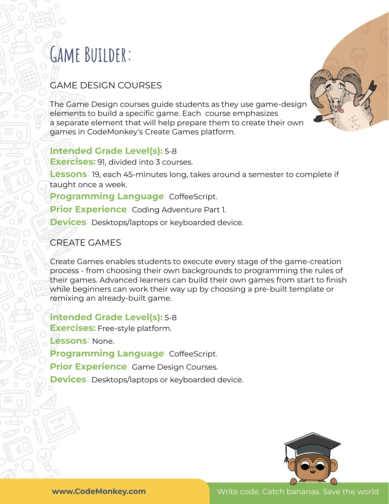### **Game Builder:**

#### GAME DESIGN COURSES

The Game Design courses guide students as they use game-design elements to build a specific game. Each course emphasizes a separate element that will help prepare them to create their own games in CodeMonkey's Create Games platform.

#### **Intended Grade Level(s):** 5-8

**Exercises:** 91, divided into 3 courses.

**Lessons:** 19, each 45-minutes long, takes around a semester to complete if taught once a week.

**Programming Language:** CoffeeScript.

**Prior Experience:** Coding Adventure Part 1.

**Devices:** Desktops/laptops or keyboarded device.

#### CREATE GAMES

Create Games enables students to execute every stage of the game-creation process - from choosing their own backgrounds to programming the rules of their games. Advanced learners can build their own games from start to finish while beginners can work their way up by choosing a pre-built template or remixing an already-built game.

**Intended Grade Level(s):** 5-8 **Exercises:** Free-style platform. **Lessons:** None. **Programming Language:** CoffeeScript. **Prior Experience:** Game Design Courses.

**Devices:** Desktops/laptops or keyboarded device.



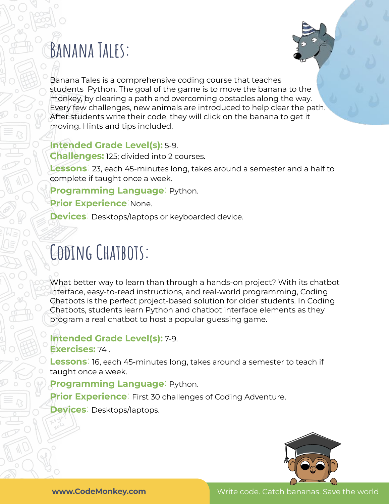### **Banana Tales:**



Banana Tales is a comprehensive coding course that teaches students Python. The goal of the game is to move the banana to the monkey, by clearing a path and overcoming obstacles along the way. Every few challenges, new animals are introduced to help clear the path. After students write their code, they will click on the banana to get it moving. Hints and tips included.

#### **Intended Grade Level(s):** 5-9.

**Challenges:** 125; divided into 2 courses.

**Lessons:** 23, each 45-minutes long, takes around a semester and a half to complete if taught once a week.

**Programming Language:** Python.

**Prior Experience:**None.

**Devices:** Desktops/laptops or keyboarded device.

### **Coding Chatbots:**

What better way to learn than through a hands-on project? With its chatbot interface, easy-to-read instructions, and real-world programming, Coding Chatbots is the perfect project-based solution for older students. In Coding Chatbots, students learn Python and chatbot interface elements as they program a real chatbot to host a popular guessing game.

**Intended Grade Level(s):** 7-9. **Exercises:** 74 .

**Lessons:** 16, each 45-minutes long, takes around a semester to teach if taught once a week.

**Programming Language:** Python.

**Prior Experience**<sup>:</sup> First 30 challenges of Coding Adventure.

**Devices:** Desktops/laptops.



**www.CodeMonkey.com Created by CodeMonkey Teacher Ambassador** Write code. Catch bananas. Save the world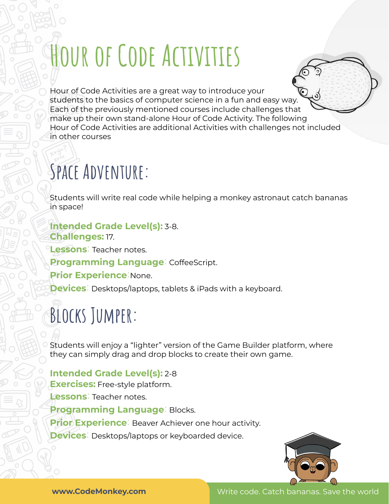# **Hour of Code Activities**

Hour of Code Activities are a great way to introduce your students to the basics of computer science in a fun and easy way. Each of the previously mentioned courses include challenges that make up their own stand-alone Hour of Code Activity. The following Hour of Code Activities are additional Activities with challenges not included in other courses

## **Space Adventure:**

Students will write real code while helping a monkey astronaut catch bananas in space!

#### **Intended Grade Level(s):** 3-8. **Challenges:** 17.

**Lessons:** Teacher notes.

**Programming Language:** CoffeeScript.

**Prior Experience:**None.

**Devices:** Desktops/laptops, tablets & iPads with a keyboard.

## **Blocks Jumper:**

Students will enjoy a "lighter" version of the Game Builder platform, where they can simply drag and drop blocks to create their own game.

#### **Intended Grade Level(s):** 2-8

**Exercises:** Free-style platform.

**Lessons:** Teacher notes. **Programming Language:** Blocks. **Prior Experience**: Beaver Achiever one hour activity. **Devices:** Desktops/laptops or keyboarded device.